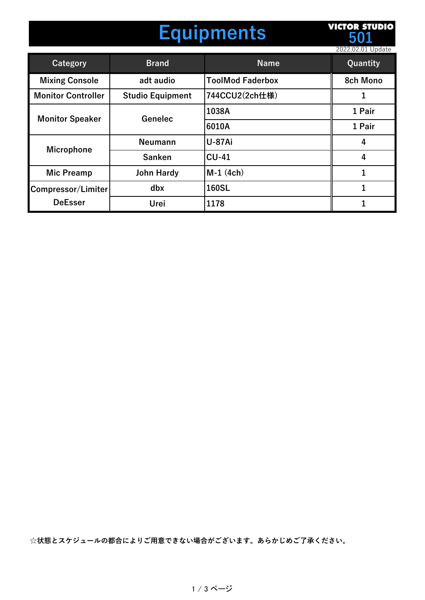## **Equipments**

**VICTOR STUDIO 501**

|                                      |                         |                         | 2022.02.01 Update |
|--------------------------------------|-------------------------|-------------------------|-------------------|
| Category                             | <b>Brand</b>            | <b>Name</b>             | Quantity          |
| <b>Mixing Console</b>                | adt audio               | <b>ToolMod Faderbox</b> | <b>8ch Mono</b>   |
| <b>Monitor Controller</b>            | <b>Studio Equipment</b> | 744CCU2(2ch仕様)          |                   |
| <b>Monitor Speaker</b>               | Genelec                 | 1038A                   | 1 Pair            |
|                                      |                         | 6010A                   | 1 Pair            |
| <b>Microphone</b>                    | <b>Neumann</b>          | <b>U-87Ai</b>           | 4                 |
|                                      | <b>Sanken</b>           | $CU-41$                 | 4                 |
| <b>Mic Preamp</b>                    | <b>John Hardy</b>       | $M-1$ (4ch)             |                   |
| Compressor/Limiter<br><b>DeEsser</b> | dbx                     | 160SL                   |                   |
|                                      | Urei                    | 1178                    |                   |

**☆状態とスケジュールの都合によりご⽤意できない場合がございます。あらかじめご了承ください。**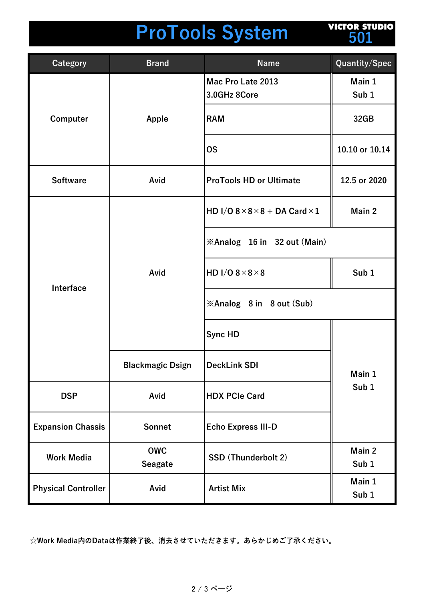## **ProTools System**

**VICTOR STUDIO 501**

| <b>Category</b>            | <b>Brand</b>                 | <b>Name</b>                                       | Quantity/Spec              |
|----------------------------|------------------------------|---------------------------------------------------|----------------------------|
| Computer                   | Apple                        | Mac Pro Late 2013<br>3.0GHz 8Core                 | Main 1<br>Sub <sub>1</sub> |
|                            |                              | <b>RAM</b>                                        | 32GB                       |
|                            |                              | <b>OS</b>                                         | 10.10 or 10.14             |
| <b>Software</b>            | Avid                         | <b>ProTools HD or Ultimate</b>                    | 12.5 or 2020               |
| Interface                  | Avid                         | HD I/O $8 \times 8 \times 8 +$ DA Card $\times 1$ | Main 2                     |
|                            |                              | <b>Example 16 in 32 out (Main)</b>                |                            |
|                            |                              | HD I/O $8 \times 8 \times 8$                      | Sub <sub>1</sub>           |
|                            |                              | <b>Example 3 in 8 out (Sub)</b>                   |                            |
|                            |                              | <b>Sync HD</b>                                    |                            |
|                            | <b>Blackmagic Dsign</b>      | <b>DeckLink SDI</b>                               | Main 1<br>Sub <sub>1</sub> |
| <b>DSP</b>                 | Avid                         | <b>HDX PCIe Card</b>                              |                            |
| <b>Expansion Chassis</b>   | Sonnet                       | <b>Echo Express III-D</b>                         |                            |
| <b>Work Media</b>          | <b>OWC</b><br><b>Seagate</b> | SSD (Thunderbolt 2)                               | Main 2<br>Sub <sub>1</sub> |
| <b>Physical Controller</b> | Avid                         | <b>Artist Mix</b>                                 | Main 1<br>Sub <sub>1</sub> |

**☆Work Media内のDataは作業終了後、消去させていただきます。あらかじめご了承ください。**